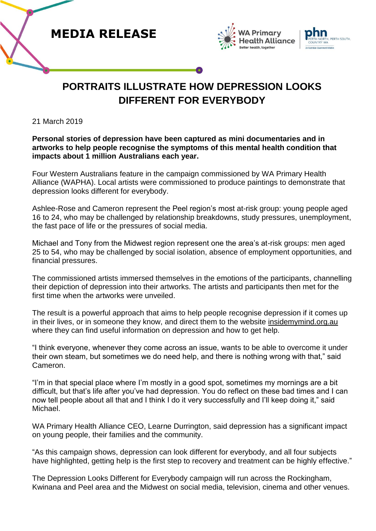





## **PORTRAITS ILLUSTRATE HOW DEPRESSION LOOKS DIFFERENT FOR EVERYBODY**

21 March 2019

## **Personal stories of depression have been captured as mini documentaries and in artworks to help people recognise the symptoms of this mental health condition that impacts about 1 million Australians each year.**

Four Western Australians feature in the campaign commissioned by WA Primary Health Alliance (WAPHA). Local artists were commissioned to produce paintings to demonstrate that depression looks different for everybody.

Ashlee-Rose and Cameron represent the Peel region's most at-risk group: young people aged 16 to 24, who may be challenged by relationship breakdowns, study pressures, unemployment, the fast pace of life or the pressures of social media.

Michael and Tony from the Midwest region represent one the area's at-risk groups: men aged 25 to 54, who may be challenged by social isolation, absence of employment opportunities, and financial pressures.

The commissioned artists immersed themselves in the emotions of the participants, channelling their depiction of depression into their artworks. The artists and participants then met for the first time when the artworks were unveiled.

The result is a powerful approach that aims to help people recognise depression if it comes up in their lives, or in someone they know, and direct them to the website [insidemymind.org.au](http://www.insidemymind.org.au/) where they can find useful information on depression and how to get help.

"I think everyone, whenever they come across an issue, wants to be able to overcome it under their own steam, but sometimes we do need help, and there is nothing wrong with that," said Cameron.

"I'm in that special place where I'm mostly in a good spot, sometimes my mornings are a bit difficult, but that's life after you've had depression. You do reflect on these bad times and I can now tell people about all that and I think I do it very successfully and I'll keep doing it," said Michael.

WA Primary Health Alliance CEO, Learne Durrington, said depression has a significant impact on young people, their families and the community.

"As this campaign shows, depression can look different for everybody, and all four subjects have highlighted, getting help is the first step to recovery and treatment can be highly effective."

The Depression Looks Different for Everybody campaign will run across the Rockingham, Kwinana and Peel area and the Midwest on social media, television, cinema and other venues.